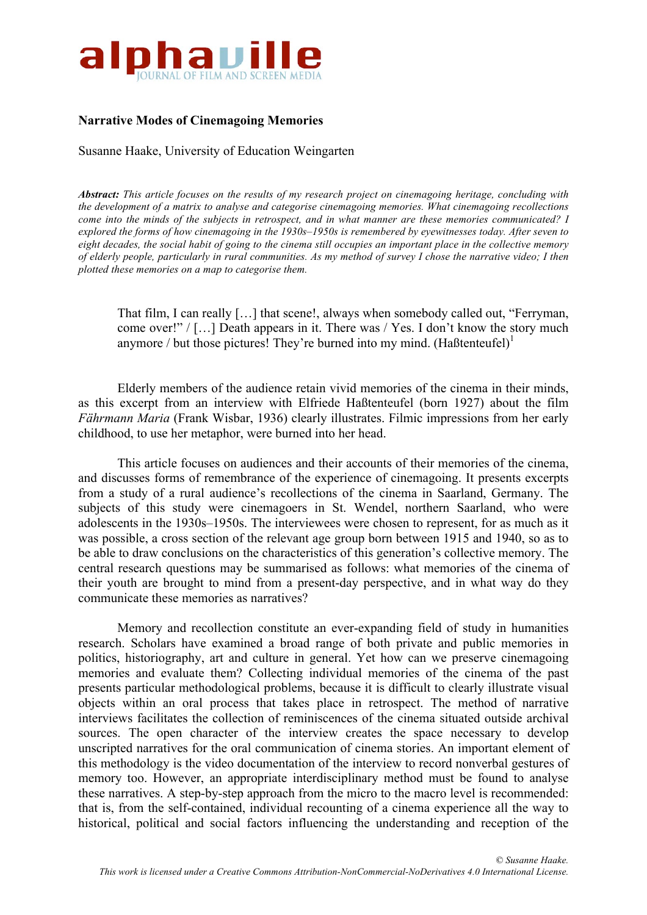

# **Narrative Modes of Cinemagoing Memories**

Susanne Haake, University of Education Weingarten

*Abstract: This article focuses on the results of my research project on cinemagoing heritage, concluding with the development of a matrix to analyse and categorise cinemagoing memories. What cinemagoing recollections* come into the minds of the subjects in retrospect, and in what manner are these memories communicated? I explored the forms of how cinemagoing in the 1930s-1950s is remembered by evewitnesses today. After seven to eight decades, the social habit of going to the cinema still occupies an important place in the collective memory of elderly people, particularly in rural communities. As my method of survey I chose the narrative video; I then *plotted these memories on a map to categorise them.*

That film, I can really […] that scene!, always when somebody called out, "Ferryman, come over!" / […] Death appears in it. There was / Yes. I don't know the story much anymore / but those pictures! They're burned into my mind.  $(HaBtenteufel)^1$ 

Elderly members of the audience retain vivid memories of the cinema in their minds, as this excerpt from an interview with Elfriede Haßtenteufel (born 1927) about the film *Fährmann Maria* (Frank Wisbar, 1936) clearly illustrates. Filmic impressions from her early childhood, to use her metaphor, were burned into her head.

This article focuses on audiences and their accounts of their memories of the cinema, and discusses forms of remembrance of the experience of cinemagoing. It presents excerpts from a study of a rural audience's recollections of the cinema in Saarland, Germany. The subjects of this study were cinemagoers in St. Wendel, northern Saarland, who were adolescents in the 1930s–1950s. The interviewees were chosen to represent, for as much as it was possible, a cross section of the relevant age group born between 1915 and 1940, so as to be able to draw conclusions on the characteristics of this generation's collective memory. The central research questions may be summarised as follows: what memories of the cinema of their youth are brought to mind from a present-day perspective, and in what way do they communicate these memories as narratives?

Memory and recollection constitute an ever-expanding field of study in humanities research. Scholars have examined a broad range of both private and public memories in politics, historiography, art and culture in general. Yet how can we preserve cinemagoing memories and evaluate them? Collecting individual memories of the cinema of the past presents particular methodological problems, because it is difficult to clearly illustrate visual objects within an oral process that takes place in retrospect. The method of narrative interviews facilitates the collection of reminiscences of the cinema situated outside archival sources. The open character of the interview creates the space necessary to develop unscripted narratives for the oral communication of cinema stories. An important element of this methodology is the video documentation of the interview to record nonverbal gestures of memory too. However, an appropriate interdisciplinary method must be found to analyse these narratives. A step-by-step approach from the micro to the macro level is recommended: that is, from the self-contained, individual recounting of a cinema experience all the way to historical, political and social factors influencing the understanding and reception of the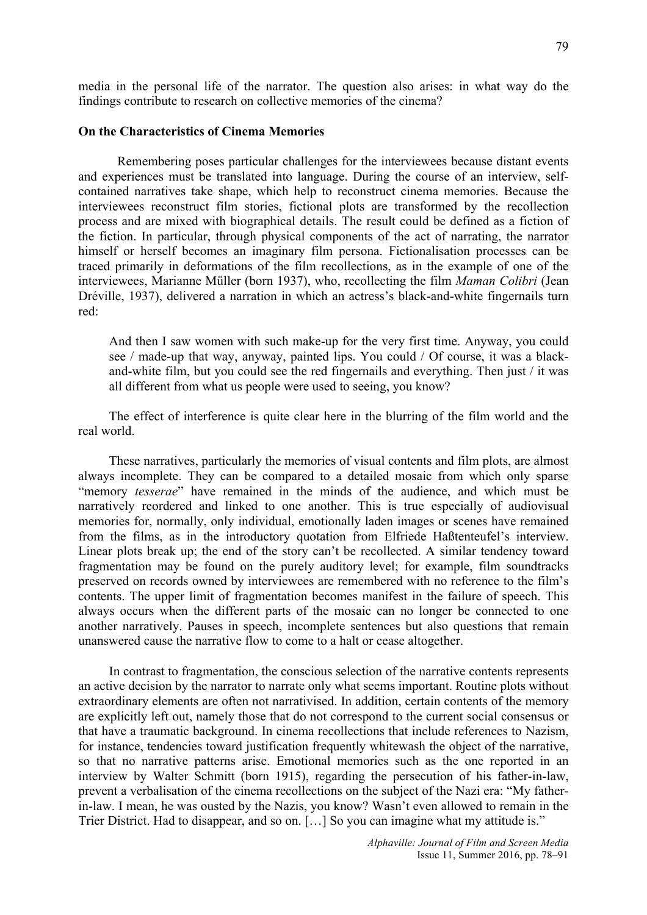## **On the Characteristics of Cinema Memories**

Remembering poses particular challenges for the interviewees because distant events and experiences must be translated into language. During the course of an interview, selfcontained narratives take shape, which help to reconstruct cinema memories. Because the interviewees reconstruct film stories, fictional plots are transformed by the recollection process and are mixed with biographical details. The result could be defined as a fiction of the fiction. In particular, through physical components of the act of narrating, the narrator himself or herself becomes an imaginary film persona. Fictionalisation processes can be traced primarily in deformations of the film recollections, as in the example of one of the interviewees, Marianne Müller (born 1937), who, recollecting the film *Maman Colibri* (Jean Dréville, 1937), delivered a narration in which an actress's black-and-white fingernails turn red:

And then I saw women with such make-up for the very first time. Anyway, you could see / made-up that way, anyway, painted lips. You could / Of course, it was a blackand-white film, but you could see the red fingernails and everything. Then just / it was all different from what us people were used to seeing, you know?

The effect of interference is quite clear here in the blurring of the film world and the real world.

These narratives, particularly the memories of visual contents and film plots, are almost always incomplete. They can be compared to a detailed mosaic from which only sparse "memory *tesserae*" have remained in the minds of the audience, and which must be narratively reordered and linked to one another. This is true especially of audiovisual memories for, normally, only individual, emotionally laden images or scenes have remained from the films, as in the introductory quotation from Elfriede Haßtenteufel's interview. Linear plots break up; the end of the story can't be recollected. A similar tendency toward fragmentation may be found on the purely auditory level; for example, film soundtracks preserved on records owned by interviewees are remembered with no reference to the film's contents. The upper limit of fragmentation becomes manifest in the failure of speech. This always occurs when the different parts of the mosaic can no longer be connected to one another narratively. Pauses in speech, incomplete sentences but also questions that remain unanswered cause the narrative flow to come to a halt or cease altogether.

In contrast to fragmentation, the conscious selection of the narrative contents represents an active decision by the narrator to narrate only what seems important. Routine plots without extraordinary elements are often not narrativised. In addition, certain contents of the memory are explicitly left out, namely those that do not correspond to the current social consensus or that have a traumatic background. In cinema recollections that include references to Nazism, for instance, tendencies toward justification frequently whitewash the object of the narrative, so that no narrative patterns arise. Emotional memories such as the one reported in an interview by Walter Schmitt (born 1915), regarding the persecution of his father-in-law, prevent a verbalisation of the cinema recollections on the subject of the Nazi era: "My fatherin-law. I mean, he was ousted by the Nazis, you know? Wasn't even allowed to remain in the Trier District. Had to disappear, and so on. […] So you can imagine what my attitude is."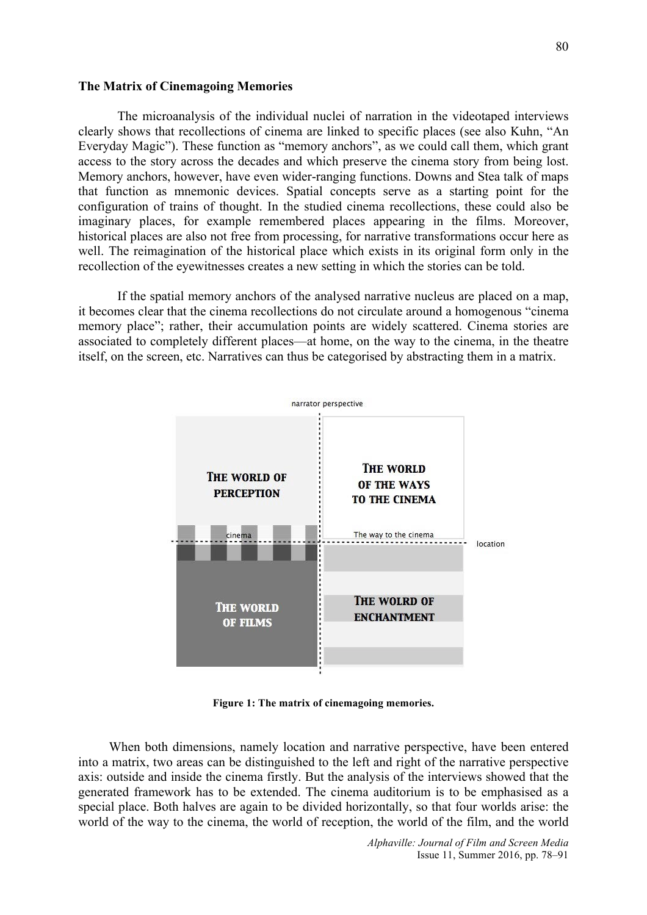### **The Matrix of Cinemagoing Memories**

The microanalysis of the individual nuclei of narration in the videotaped interviews clearly shows that recollections of cinema are linked to specific places (see also Kuhn, "An Everyday Magic"). These function as "memory anchors", as we could call them, which grant access to the story across the decades and which preserve the cinema story from being lost. Memory anchors, however, have even wider-ranging functions. Downs and Stea talk of maps that function as mnemonic devices. Spatial concepts serve as a starting point for the configuration of trains of thought. In the studied cinema recollections, these could also be imaginary places, for example remembered places appearing in the films. Moreover, historical places are also not free from processing, for narrative transformations occur here as well. The reimagination of the historical place which exists in its original form only in the recollection of the eyewitnesses creates a new setting in which the stories can be told.

If the spatial memory anchors of the analysed narrative nucleus are placed on a map, it becomes clear that the cinema recollections do not circulate around a homogenous "cinema memory place"; rather, their accumulation points are widely scattered. Cinema stories are associated to completely different places—at home, on the way to the cinema, in the theatre itself, on the screen, etc. Narratives can thus be categorised by abstracting them in a matrix.



**Figure 1: The matrix of cinemagoing memories.**

When both dimensions, namely location and narrative perspective, have been entered into a matrix, two areas can be distinguished to the left and right of the narrative perspective axis: outside and inside the cinema firstly. But the analysis of the interviews showed that the generated framework has to be extended. The cinema auditorium is to be emphasised as a special place. Both halves are again to be divided horizontally, so that four worlds arise: the world of the way to the cinema, the world of reception, the world of the film, and the world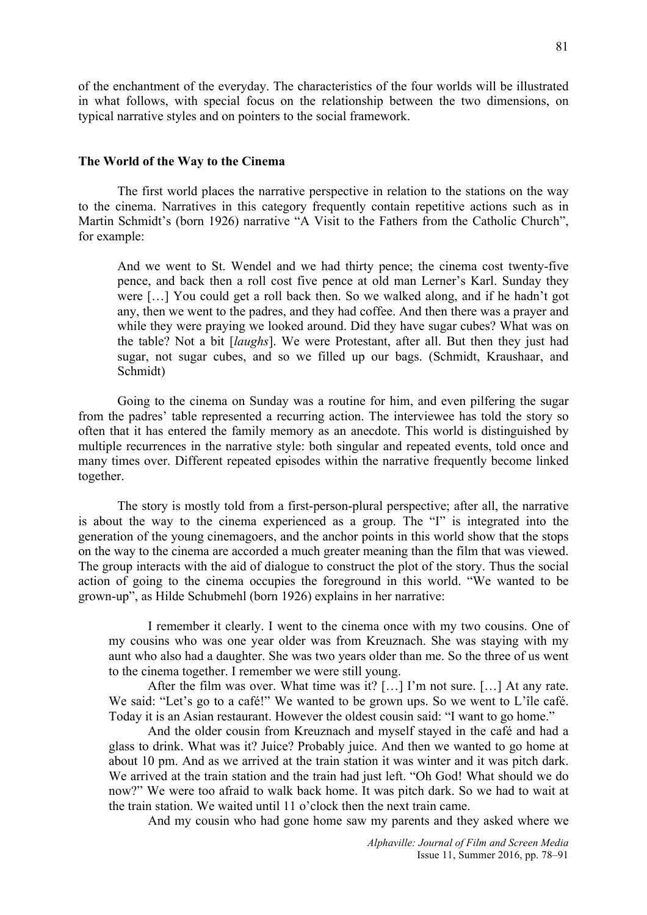of the enchantment of the everyday. The characteristics of the four worlds will be illustrated in what follows, with special focus on the relationship between the two dimensions, on typical narrative styles and on pointers to the social framework.

#### **The World of the Way to the Cinema**

The first world places the narrative perspective in relation to the stations on the way to the cinema. Narratives in this category frequently contain repetitive actions such as in Martin Schmidt's (born 1926) narrative "A Visit to the Fathers from the Catholic Church", for example:

And we went to St. Wendel and we had thirty pence; the cinema cost twenty-five pence, and back then a roll cost five pence at old man Lerner's Karl. Sunday they were […] You could get a roll back then. So we walked along, and if he hadn't got any, then we went to the padres, and they had coffee. And then there was a prayer and while they were praying we looked around. Did they have sugar cubes? What was on the table? Not a bit [*laughs*]. We were Protestant, after all. But then they just had sugar, not sugar cubes, and so we filled up our bags. (Schmidt, Kraushaar, and Schmidt)

Going to the cinema on Sunday was a routine for him, and even pilfering the sugar from the padres' table represented a recurring action. The interviewee has told the story so often that it has entered the family memory as an anecdote. This world is distinguished by multiple recurrences in the narrative style: both singular and repeated events, told once and many times over. Different repeated episodes within the narrative frequently become linked together.

The story is mostly told from a first-person-plural perspective; after all, the narrative is about the way to the cinema experienced as a group. The "I" is integrated into the generation of the young cinemagoers, and the anchor points in this world show that the stops on the way to the cinema are accorded a much greater meaning than the film that was viewed. The group interacts with the aid of dialogue to construct the plot of the story. Thus the social action of going to the cinema occupies the foreground in this world. "We wanted to be grown-up", as Hilde Schubmehl (born 1926) explains in her narrative:

I remember it clearly. I went to the cinema once with my two cousins. One of my cousins who was one year older was from Kreuznach. She was staying with my aunt who also had a daughter. She was two years older than me. So the three of us went to the cinema together. I remember we were still young.

After the film was over. What time was it? […] I'm not sure. […] At any rate. We said: "Let's go to a café!" We wanted to be grown ups. So we went to L'île café. Today it is an Asian restaurant. However the oldest cousin said: "I want to go home."

And the older cousin from Kreuznach and myself stayed in the café and had a glass to drink. What was it? Juice? Probably juice. And then we wanted to go home at about 10 pm. And as we arrived at the train station it was winter and it was pitch dark. We arrived at the train station and the train had just left. "Oh God! What should we do now?" We were too afraid to walk back home. It was pitch dark. So we had to wait at the train station. We waited until 11 o'clock then the next train came.

And my cousin who had gone home saw my parents and they asked where we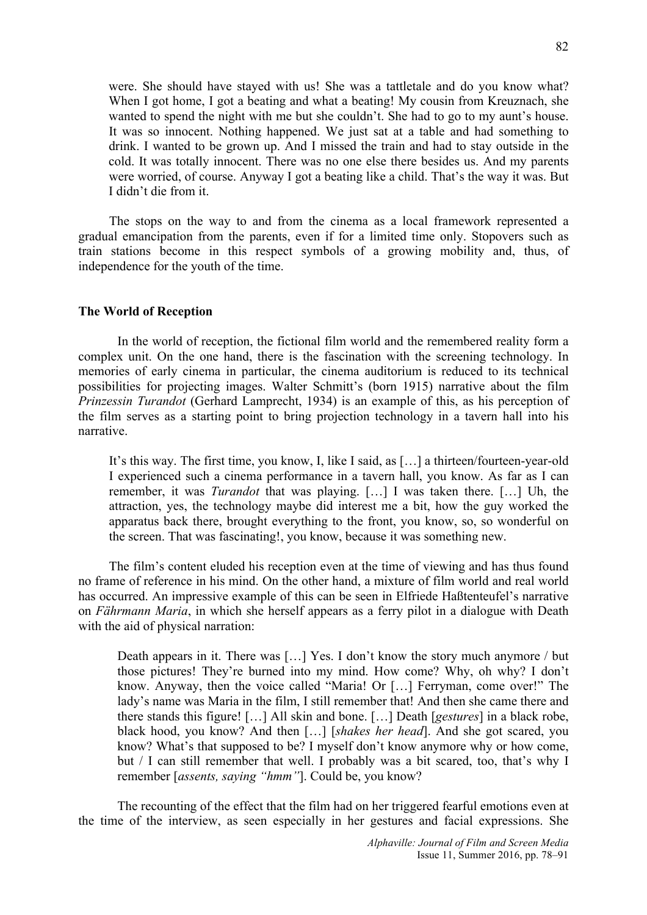were. She should have stayed with us! She was a tattletale and do you know what? When I got home, I got a beating and what a beating! My cousin from Kreuznach, she wanted to spend the night with me but she couldn't. She had to go to my aunt's house. It was so innocent. Nothing happened. We just sat at a table and had something to drink. I wanted to be grown up. And I missed the train and had to stay outside in the cold. It was totally innocent. There was no one else there besides us. And my parents were worried, of course. Anyway I got a beating like a child. That's the way it was. But I didn't die from it.

The stops on the way to and from the cinema as a local framework represented a gradual emancipation from the parents, even if for a limited time only. Stopovers such as train stations become in this respect symbols of a growing mobility and, thus, of independence for the youth of the time.

### **The World of Reception**

In the world of reception, the fictional film world and the remembered reality form a complex unit. On the one hand, there is the fascination with the screening technology. In memories of early cinema in particular, the cinema auditorium is reduced to its technical possibilities for projecting images. Walter Schmitt's (born 1915) narrative about the film *Prinzessin Turandot* (Gerhard Lamprecht, 1934) is an example of this, as his perception of the film serves as a starting point to bring projection technology in a tavern hall into his narrative.

It's this way. The first time, you know, I, like I said, as […] a thirteen/fourteen-year-old I experienced such a cinema performance in a tavern hall, you know. As far as I can remember, it was *Turandot* that was playing. […] I was taken there. […] Uh, the attraction, yes, the technology maybe did interest me a bit, how the guy worked the apparatus back there, brought everything to the front, you know, so, so wonderful on the screen. That was fascinating!, you know, because it was something new.

The film's content eluded his reception even at the time of viewing and has thus found no frame of reference in his mind. On the other hand, a mixture of film world and real world has occurred. An impressive example of this can be seen in Elfriede Haßtenteufel's narrative on *Fährmann Maria*, in which she herself appears as a ferry pilot in a dialogue with Death with the aid of physical narration:

Death appears in it. There was […] Yes. I don't know the story much anymore / but those pictures! They're burned into my mind. How come? Why, oh why? I don't know. Anyway, then the voice called "Maria! Or […] Ferryman, come over!" The lady's name was Maria in the film, I still remember that! And then she came there and there stands this figure! […] All skin and bone. […] Death [*gestures*] in a black robe, black hood, you know? And then […] [*shakes her head*]. And she got scared, you know? What's that supposed to be? I myself don't know anymore why or how come, but / I can still remember that well. I probably was a bit scared, too, that's why I remember [*assents, saying "hmm"*]. Could be, you know?

The recounting of the effect that the film had on her triggered fearful emotions even at the time of the interview, as seen especially in her gestures and facial expressions. She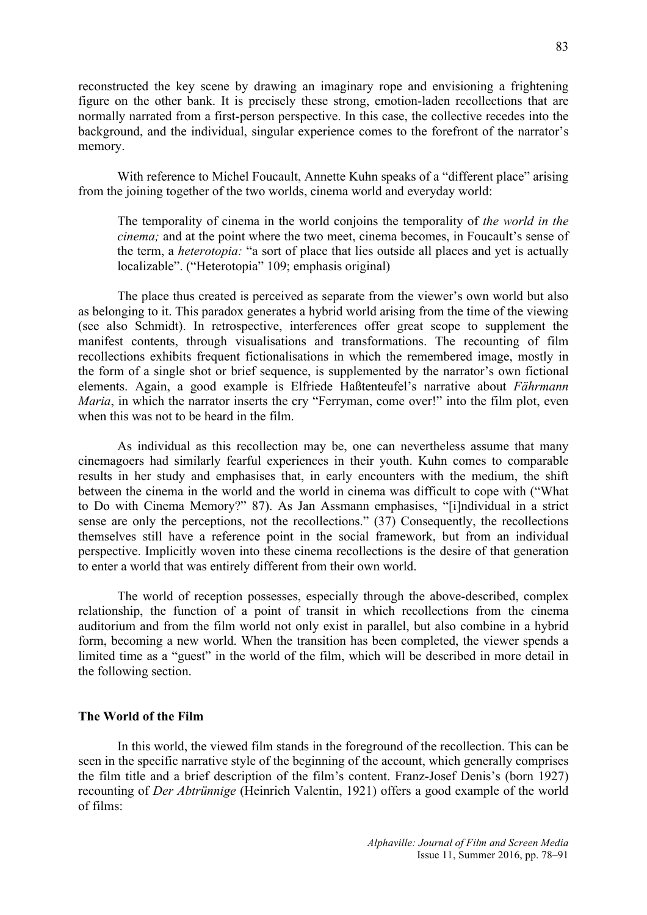reconstructed the key scene by drawing an imaginary rope and envisioning a frightening figure on the other bank. It is precisely these strong, emotion-laden recollections that are normally narrated from a first-person perspective. In this case, the collective recedes into the background, and the individual, singular experience comes to the forefront of the narrator's memory.

With reference to Michel Foucault, Annette Kuhn speaks of a "different place" arising from the joining together of the two worlds, cinema world and everyday world:

The temporality of cinema in the world conjoins the temporality of *the world in the cinema;* and at the point where the two meet, cinema becomes, in Foucault's sense of the term, a *heterotopia:* "a sort of place that lies outside all places and yet is actually localizable". ("Heterotopia" 109; emphasis original)

The place thus created is perceived as separate from the viewer's own world but also as belonging to it. This paradox generates a hybrid world arising from the time of the viewing (see also Schmidt). In retrospective, interferences offer great scope to supplement the manifest contents, through visualisations and transformations. The recounting of film recollections exhibits frequent fictionalisations in which the remembered image, mostly in the form of a single shot or brief sequence, is supplemented by the narrator's own fictional elements. Again, a good example is Elfriede Haßtenteufel's narrative about *Fährmann Maria*, in which the narrator inserts the cry "Ferryman, come over!" into the film plot, even when this was not to be heard in the film.

As individual as this recollection may be, one can nevertheless assume that many cinemagoers had similarly fearful experiences in their youth. Kuhn comes to comparable results in her study and emphasises that, in early encounters with the medium, the shift between the cinema in the world and the world in cinema was difficult to cope with ("What to Do with Cinema Memory?" 87). As Jan Assmann emphasises, "[i]ndividual in a strict sense are only the perceptions, not the recollections." (37) Consequently, the recollections themselves still have a reference point in the social framework, but from an individual perspective. Implicitly woven into these cinema recollections is the desire of that generation to enter a world that was entirely different from their own world.

The world of reception possesses, especially through the above-described, complex relationship, the function of a point of transit in which recollections from the cinema auditorium and from the film world not only exist in parallel, but also combine in a hybrid form, becoming a new world. When the transition has been completed, the viewer spends a limited time as a "guest" in the world of the film, which will be described in more detail in the following section.

### **The World of the Film**

In this world, the viewed film stands in the foreground of the recollection. This can be seen in the specific narrative style of the beginning of the account, which generally comprises the film title and a brief description of the film's content. Franz-Josef Denis's (born 1927) recounting of *Der Abtrünnige* (Heinrich Valentin, 1921) offers a good example of the world of films: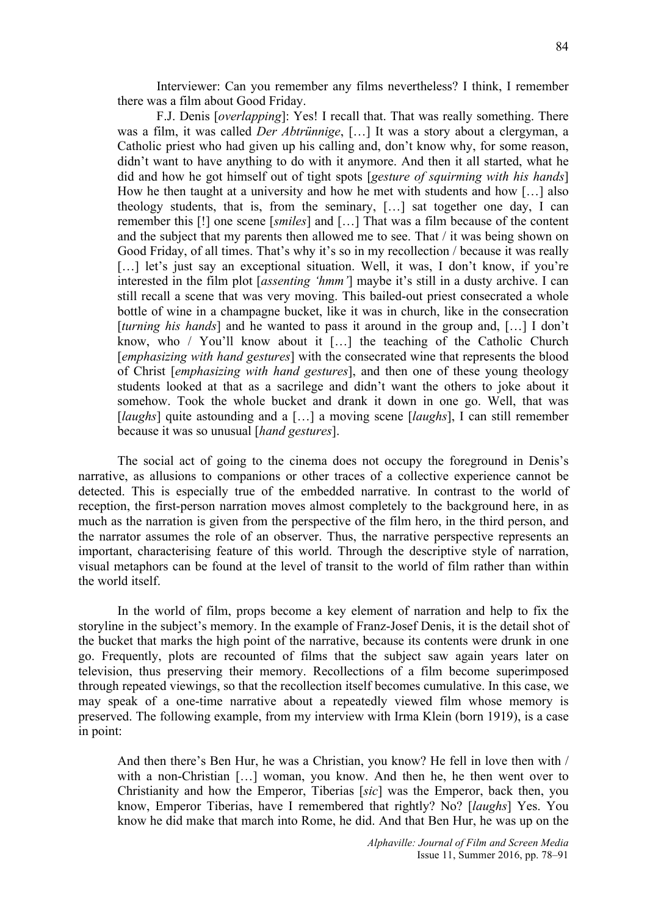Interviewer: Can you remember any films nevertheless? I think, I remember there was a film about Good Friday.

F.J. Denis [*overlapping*]: Yes! I recall that. That was really something. There was a film, it was called *Der Abtrünnige*, […] It was a story about a clergyman, a Catholic priest who had given up his calling and, don't know why, for some reason, didn't want to have anything to do with it anymore. And then it all started, what he did and how he got himself out of tight spots [*gesture of squirming with his hands*] How he then taught at a university and how he met with students and how […] also theology students, that is, from the seminary, […] sat together one day, I can remember this [!] one scene [*smiles*] and […] That was a film because of the content and the subject that my parents then allowed me to see. That / it was being shown on Good Friday, of all times. That's why it's so in my recollection / because it was really [...] let's just say an exceptional situation. Well, it was, I don't know, if you're interested in the film plot [*assenting 'hmm'*] maybe it's still in a dusty archive. I can still recall a scene that was very moving. This bailed-out priest consecrated a whole bottle of wine in a champagne bucket, like it was in church, like in the consecration [*turning his hands*] and he wanted to pass it around in the group and, […] I don't know, who / You'll know about it […] the teaching of the Catholic Church [*emphasizing with hand gestures*] with the consecrated wine that represents the blood of Christ [*emphasizing with hand gestures*], and then one of these young theology students looked at that as a sacrilege and didn't want the others to joke about it somehow. Took the whole bucket and drank it down in one go. Well, that was [*laughs*] quite astounding and a [...] a moving scene [*laughs*], I can still remember because it was so unusual [*hand gestures*].

The social act of going to the cinema does not occupy the foreground in Denis's narrative, as allusions to companions or other traces of a collective experience cannot be detected. This is especially true of the embedded narrative. In contrast to the world of reception, the first-person narration moves almost completely to the background here, in as much as the narration is given from the perspective of the film hero, in the third person, and the narrator assumes the role of an observer. Thus, the narrative perspective represents an important, characterising feature of this world. Through the descriptive style of narration, visual metaphors can be found at the level of transit to the world of film rather than within the world itself.

In the world of film, props become a key element of narration and help to fix the storyline in the subject's memory. In the example of Franz-Josef Denis, it is the detail shot of the bucket that marks the high point of the narrative, because its contents were drunk in one go. Frequently, plots are recounted of films that the subject saw again years later on television, thus preserving their memory. Recollections of a film become superimposed through repeated viewings, so that the recollection itself becomes cumulative. In this case, we may speak of a one-time narrative about a repeatedly viewed film whose memory is preserved. The following example, from my interview with Irma Klein (born 1919), is a case in point:

And then there's Ben Hur, he was a Christian, you know? He fell in love then with / with a non-Christian [...] woman, you know. And then he, he then went over to Christianity and how the Emperor, Tiberias [*sic*] was the Emperor, back then, you know, Emperor Tiberias, have I remembered that rightly? No? [*laughs*] Yes. You know he did make that march into Rome, he did. And that Ben Hur, he was up on the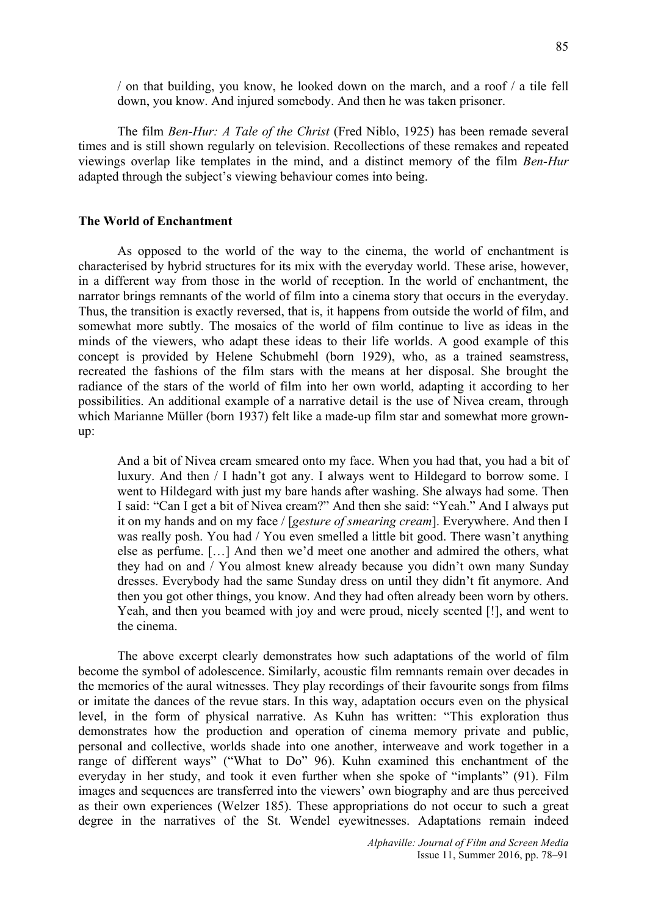/ on that building, you know, he looked down on the march, and a roof / a tile fell down, you know. And injured somebody. And then he was taken prisoner.

The film *Ben-Hur: A Tale of the Christ* (Fred Niblo, 1925) has been remade several times and is still shown regularly on television. Recollections of these remakes and repeated viewings overlap like templates in the mind, and a distinct memory of the film *Ben-Hur* adapted through the subject's viewing behaviour comes into being.

# **The World of Enchantment**

As opposed to the world of the way to the cinema, the world of enchantment is characterised by hybrid structures for its mix with the everyday world. These arise, however, in a different way from those in the world of reception. In the world of enchantment, the narrator brings remnants of the world of film into a cinema story that occurs in the everyday. Thus, the transition is exactly reversed, that is, it happens from outside the world of film, and somewhat more subtly. The mosaics of the world of film continue to live as ideas in the minds of the viewers, who adapt these ideas to their life worlds. A good example of this concept is provided by Helene Schubmehl (born 1929), who, as a trained seamstress, recreated the fashions of the film stars with the means at her disposal. She brought the radiance of the stars of the world of film into her own world, adapting it according to her possibilities. An additional example of a narrative detail is the use of Nivea cream, through which Marianne Müller (born 1937) felt like a made-up film star and somewhat more grownup:

And a bit of Nivea cream smeared onto my face. When you had that, you had a bit of luxury. And then / I hadn't got any. I always went to Hildegard to borrow some. I went to Hildegard with just my bare hands after washing. She always had some. Then I said: "Can I get a bit of Nivea cream?" And then she said: "Yeah." And I always put it on my hands and on my face / [*gesture of smearing cream*]. Everywhere. And then I was really posh. You had / You even smelled a little bit good. There wasn't anything else as perfume. […] And then we'd meet one another and admired the others, what they had on and / You almost knew already because you didn't own many Sunday dresses. Everybody had the same Sunday dress on until they didn't fit anymore. And then you got other things, you know. And they had often already been worn by others. Yeah, and then you beamed with joy and were proud, nicely scented [!], and went to the cinema.

The above excerpt clearly demonstrates how such adaptations of the world of film become the symbol of adolescence. Similarly, acoustic film remnants remain over decades in the memories of the aural witnesses. They play recordings of their favourite songs from films or imitate the dances of the revue stars. In this way, adaptation occurs even on the physical level, in the form of physical narrative. As Kuhn has written: "This exploration thus demonstrates how the production and operation of cinema memory private and public, personal and collective, worlds shade into one another, interweave and work together in a range of different ways" ("What to Do" 96). Kuhn examined this enchantment of the everyday in her study, and took it even further when she spoke of "implants" (91). Film images and sequences are transferred into the viewers' own biography and are thus perceived as their own experiences (Welzer 185). These appropriations do not occur to such a great degree in the narratives of the St. Wendel eyewitnesses. Adaptations remain indeed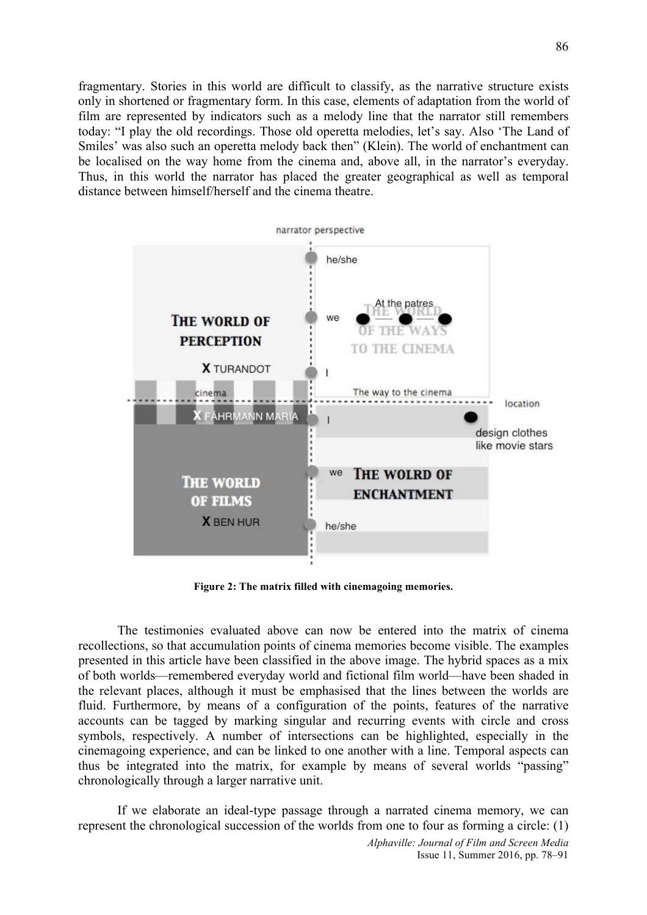fragmentary. Stories in this world are difficult to classify, as the narrative structure exists only in shortened or fragmentary form. In this case, elements of adaptation from the world of film are represented by indicators such as a melody line that the narrator still remembers today: "I play the old recordings. Those old operetta melodies, let's say. Also 'The Land of Smiles' was also such an operetta melody back then" (Klein). The world of enchantment can be localised on the way home from the cinema and, above all, in the narrator's everyday. Thus, in this world the narrator has placed the greater geographical as well as temporal distance between himself/herself and the cinema theatre.



**Figure 2: The matrix filled with cinemagoing memories.**

The testimonies evaluated above can now be entered into the matrix of cinema recollections, so that accumulation points of cinema memories become visible. The examples presented in this article have been classified in the above image. The hybrid spaces as a mix of both worlds—remembered everyday world and fictional film world—have been shaded in the relevant places, although it must be emphasised that the lines between the worlds are fluid. Furthermore, by means of a configuration of the points, features of the narrative accounts can be tagged by marking singular and recurring events with circle and cross symbols, respectively. A number of intersections can be highlighted, especially in the cinemagoing experience, and can be linked to one another with a line. Temporal aspects can thus be integrated into the matrix, for example by means of several worlds "passing" chronologically through a larger narrative unit.

If we elaborate an ideal-type passage through a narrated cinema memory, we can represent the chronological succession of the worlds from one to four as forming a circle: (1)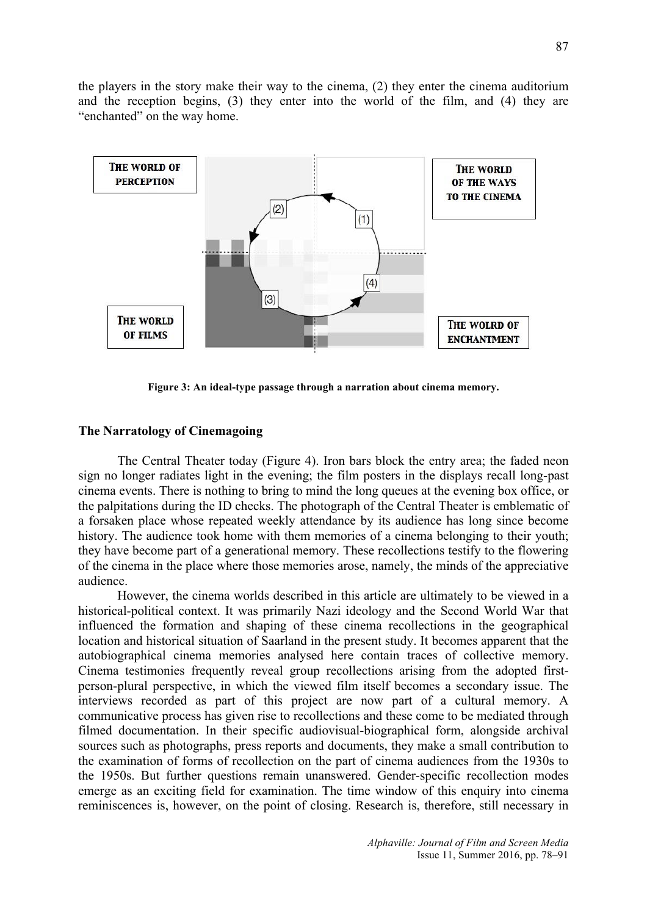the players in the story make their way to the cinema, (2) they enter the cinema auditorium and the reception begins, (3) they enter into the world of the film, and (4) they are "enchanted" on the way home.



**Figure 3: An ideal-type passage through a narration about cinema memory.**

### **The Narratology of Cinemagoing**

The Central Theater today (Figure 4). Iron bars block the entry area; the faded neon sign no longer radiates light in the evening; the film posters in the displays recall long-past cinema events. There is nothing to bring to mind the long queues at the evening box office, or the palpitations during the ID checks. The photograph of the Central Theater is emblematic of a forsaken place whose repeated weekly attendance by its audience has long since become history. The audience took home with them memories of a cinema belonging to their youth; they have become part of a generational memory. These recollections testify to the flowering of the cinema in the place where those memories arose, namely, the minds of the appreciative audience.

However, the cinema worlds described in this article are ultimately to be viewed in a historical-political context. It was primarily Nazi ideology and the Second World War that influenced the formation and shaping of these cinema recollections in the geographical location and historical situation of Saarland in the present study. It becomes apparent that the autobiographical cinema memories analysed here contain traces of collective memory. Cinema testimonies frequently reveal group recollections arising from the adopted firstperson-plural perspective, in which the viewed film itself becomes a secondary issue. The interviews recorded as part of this project are now part of a cultural memory. A communicative process has given rise to recollections and these come to be mediated through filmed documentation. In their specific audiovisual-biographical form, alongside archival sources such as photographs, press reports and documents, they make a small contribution to the examination of forms of recollection on the part of cinema audiences from the 1930s to the 1950s. But further questions remain unanswered. Gender-specific recollection modes emerge as an exciting field for examination. The time window of this enquiry into cinema reminiscences is, however, on the point of closing. Research is, therefore, still necessary in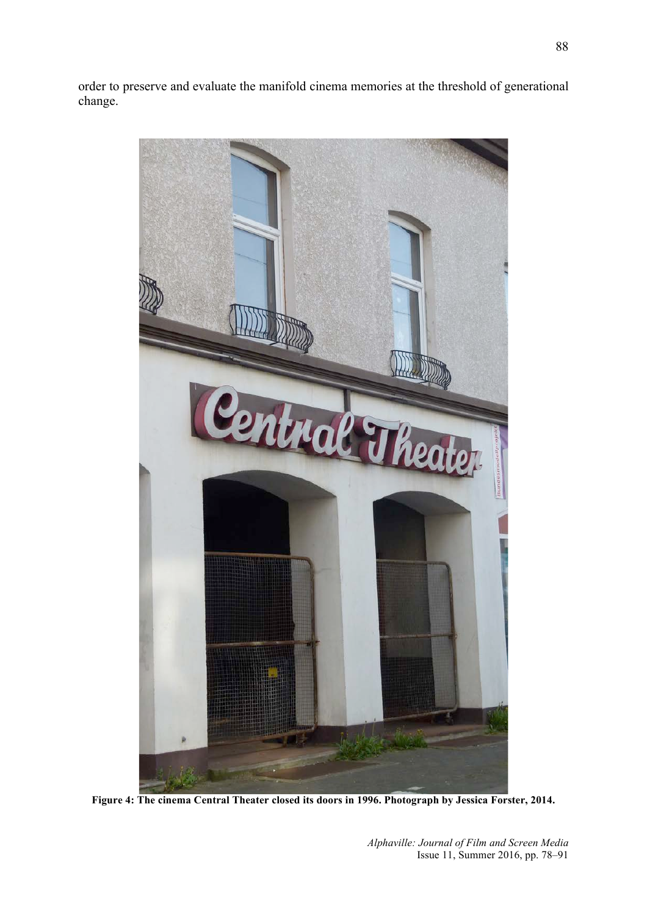order to preserve and evaluate the manifold cinema memories at the threshold of generational change.



**Figure 4: The cinema Central Theater closed its doors in 1996. Photograph by Jessica Forster, 2014.**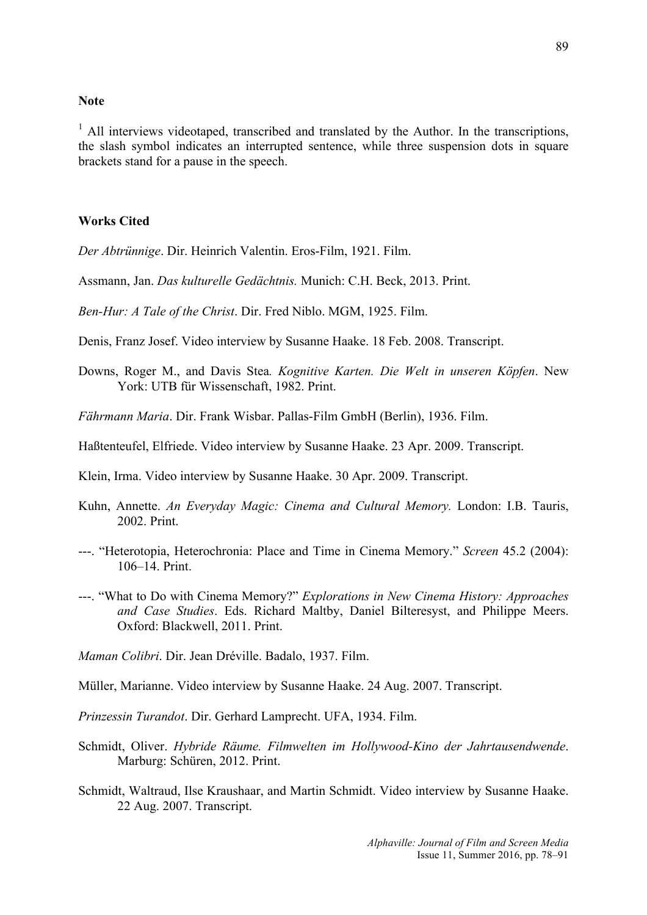## **Note**

 $<sup>1</sup>$  All interviews videotaped, transcribed and translated by the Author. In the transcriptions,</sup> the slash symbol indicates an interrupted sentence, while three suspension dots in square brackets stand for a pause in the speech.

# **Works Cited**

*Der Abtrünnige*. Dir. Heinrich Valentin. Eros-Film, 1921. Film.

Assmann, Jan. *Das kulturelle Gedächtnis.* Munich: C.H. Beck, 2013. Print.

*Ben-Hur: A Tale of the Christ*. Dir. Fred Niblo. MGM, 1925. Film.

Denis, Franz Josef. Video interview by Susanne Haake. 18 Feb. 2008. Transcript.

- Downs, Roger M., and Davis Stea*. Kognitive Karten. Die Welt in unseren Köpfen*. New York: UTB für Wissenschaft, 1982. Print.
- *Fährmann Maria*. Dir. Frank Wisbar. Pallas-Film GmbH (Berlin), 1936. Film.
- Haßtenteufel, Elfriede. Video interview by Susanne Haake. 23 Apr. 2009. Transcript.

Klein, Irma. Video interview by Susanne Haake. 30 Apr. 2009. Transcript.

- Kuhn, Annette. *An Everyday Magic: Cinema and Cultural Memory.* London: I.B. Tauris, 2002. Print.
- ---. "Heterotopia, Heterochronia: Place and Time in Cinema Memory." *Screen* 45.2 (2004): 106–14. Print.
- ---. "What to Do with Cinema Memory?" *Explorations in New Cinema History: Approaches and Case Studies*. Eds. Richard Maltby, Daniel Bilteresyst, and Philippe Meers. Oxford: Blackwell, 2011. Print.

*Maman Colibri*. Dir. Jean Dréville. Badalo, 1937. Film.

Müller, Marianne. Video interview by Susanne Haake. 24 Aug. 2007. Transcript.

*Prinzessin Turandot*. Dir. Gerhard Lamprecht. UFA, 1934. Film.

- Schmidt, Oliver. *Hybride Räume. Filmwelten im Hollywood-Kino der Jahrtausendwende*. Marburg: Schüren, 2012. Print.
- Schmidt, Waltraud, Ilse Kraushaar, and Martin Schmidt. Video interview by Susanne Haake. 22 Aug. 2007. Transcript.